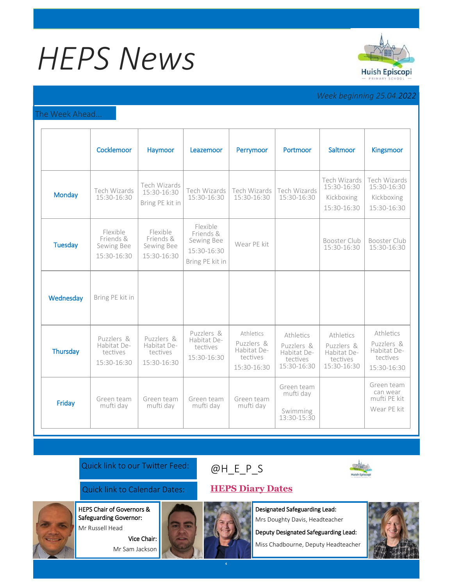# *HEPS News*



# *Week beginning 25.04.2022*

#### The Week Ahead...

|                | Cocklemoor                                           | Haymoor                                              | Leazemoor                                                             | Perrymoor                                                         | Portmoor                                                          | Saltmoor                                                          | <b>Kingsmoor</b>                                                  |
|----------------|------------------------------------------------------|------------------------------------------------------|-----------------------------------------------------------------------|-------------------------------------------------------------------|-------------------------------------------------------------------|-------------------------------------------------------------------|-------------------------------------------------------------------|
| <b>Monday</b>  | Tech Wizards<br>15:30-16:30                          | Tech Wizards<br>15:30-16:30<br>Bring PE kit in       | Tech Wizards<br>15:30-16:30                                           | Tech Wizards<br>15:30-16:30                                       | Tech Wizards<br>15:30-16:30                                       | Tech Wizards<br>15:30-16:30<br>Kickboxing<br>15:30-16:30          | Tech Wizards<br>15:30-16:30<br>Kickboxing<br>15:30-16:30          |
| <b>Tuesday</b> | Flexible<br>Friends &<br>Sewing Bee<br>15:30-16:30   | Flexible<br>Friends &<br>Sewing Bee<br>15:30-16:30   | Flexible<br>Friends &<br>Sewing Bee<br>15:30-16:30<br>Bring PE kit in | Wear PE kit                                                       |                                                                   | Booster Club<br>15:30-16:30                                       | Booster Club<br>15:30-16:30                                       |
| Wednesday      | Bring PE kit in                                      |                                                      |                                                                       |                                                                   |                                                                   |                                                                   |                                                                   |
| Thursday       | Puzzlers &<br>Habitat De-<br>tectives<br>15:30-16:30 | Puzzlers &<br>Habitat De-<br>tectives<br>15:30-16:30 | Puzzlers &<br>Habitat De-<br>tectives<br>15:30-16:30                  | Athletics<br>Puzzlers &<br>Habitat De-<br>tectives<br>15:30-16:30 | Athletics<br>Puzzlers &<br>Habitat De-<br>tectives<br>15:30-16:30 | Athletics<br>Puzzlers &<br>Habitat De-<br>tectives<br>15:30-16:30 | Athletics<br>Puzzlers &<br>Habitat De-<br>tectives<br>15:30-16:30 |
| Friday         | Green team<br>mufti day                              | Green team<br>mufti day                              | Green team<br>mufti day                                               | Green team<br>mufti day                                           | Green team<br>mufti day<br>Swimming<br>13:30-15:30                |                                                                   | Green team<br>can wear<br>mufti PE kit<br>Wear PE kit             |

### Quick link to our Twitter Feed:

## Quick link to Calendar Dates: **[HEPS Diary Dates](https://huishepiscopiprimary.co.uk/diary-dates/)**

HEPS Chair of Governors &

Safeguarding Governor: Mr Russell Head

> Vice Chair: Mr Sam Jackson





Designated Safeguarding Lead: Mrs Doughty Davis, Headteacher

Deputy Designated Safeguarding Lead:

Miss Chadbourne, Deputy Headteacher